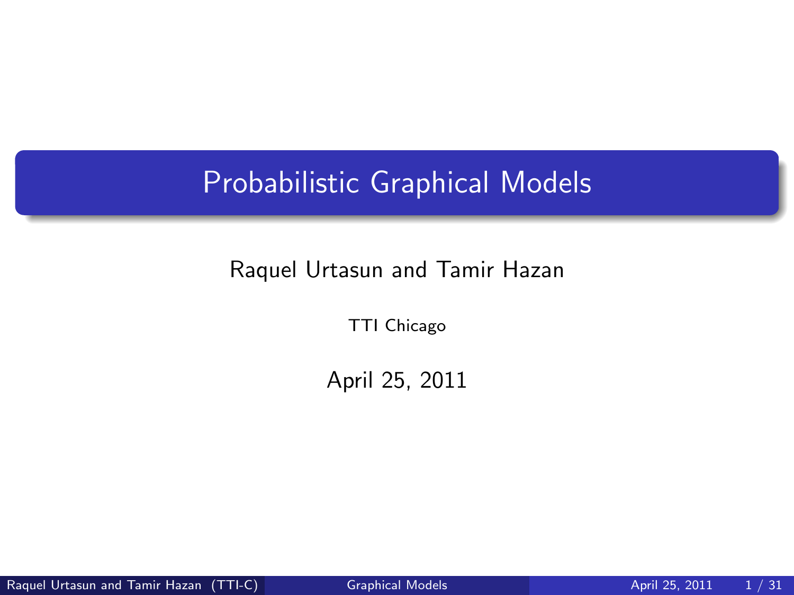# Probabilistic Graphical Models

#### Raquel Urtasun and Tamir Hazan

TTI Chicago

<span id="page-0-0"></span>April 25, 2011

Raquel Urtasun and Tamir Hazan (TTI-C) [Graphical Models](#page-30-0) April 25, 2011 1/31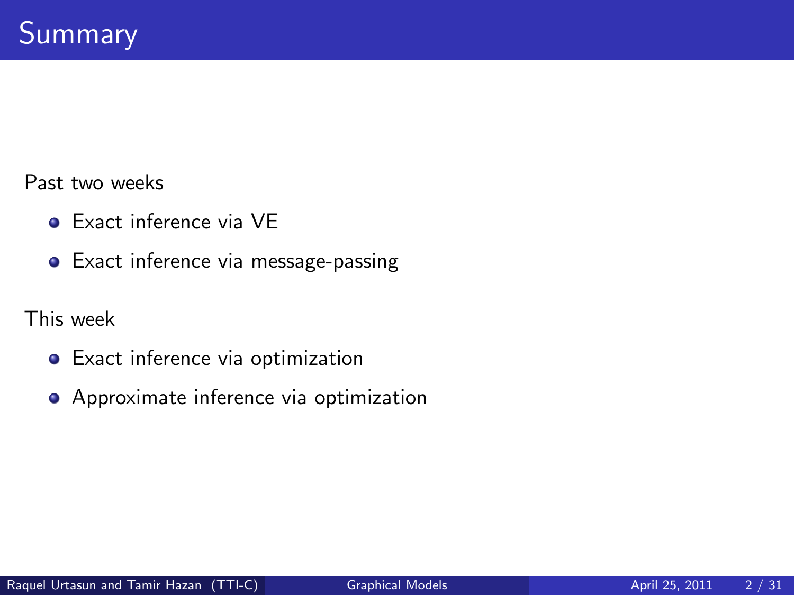Past two weeks

- Exact inference via VE
- **•** Exact inference via message-passing

This week

- Exact inference via optimization
- **•** Approximate inference via optimization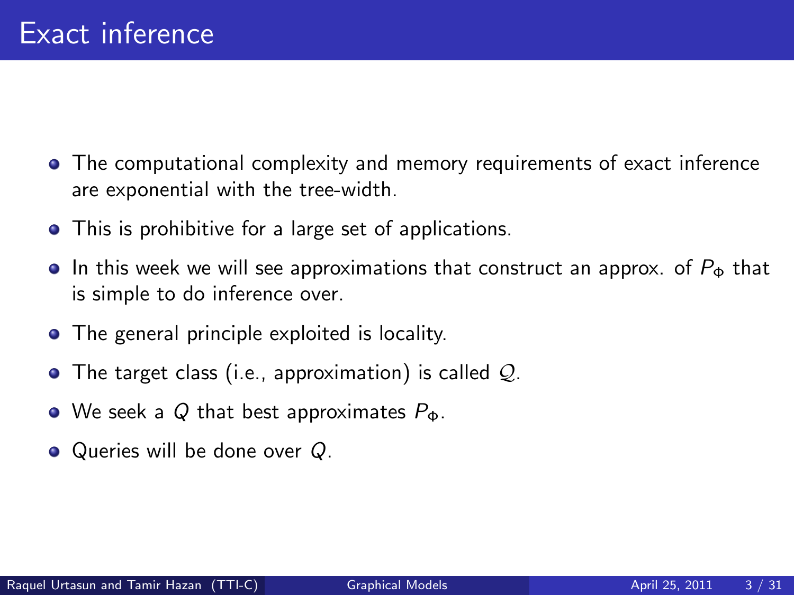- The computational complexity and memory requirements of exact inference are exponential with the tree-width.
- This is prohibitive for a large set of applications.
- **In this week we will see approximations that construct an approx.** of  $P_{\Phi}$  that is simple to do inference over.
- The general principle exploited is locality.
- $\bullet$  The target class (i.e., approximation) is called  $Q$ .
- We seek a Q that best approximates  $P_{\Phi}$ .
- Queries will be done over Q.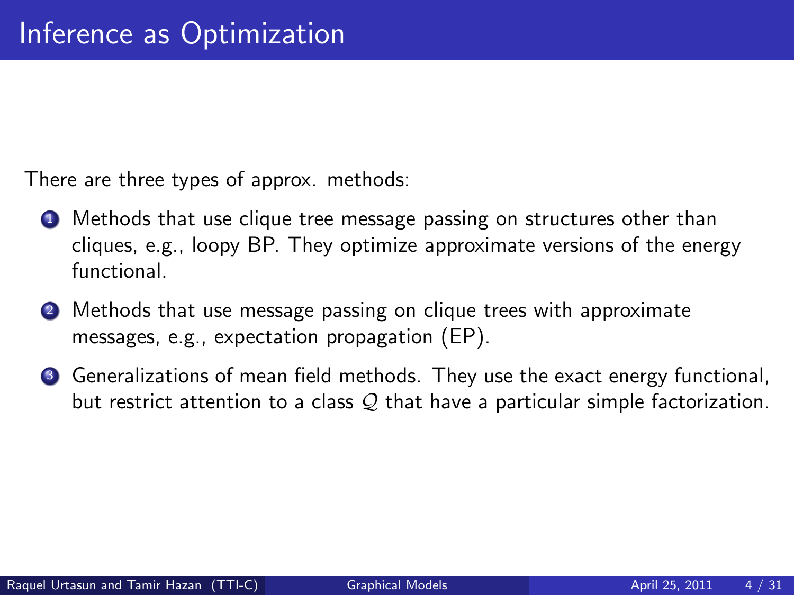There are three types of approx. methods:

- **1** Methods that use clique tree message passing on structures other than cliques, e.g., loopy BP. They optimize approximate versions of the energy functional.
- **2** Methods that use message passing on clique trees with approximate messages, e.g., expectation propagation (EP).
- <sup>3</sup> Generalizations of mean field methods. They use the exact energy functional, but restrict attention to a class  $Q$  that have a particular simple factorization.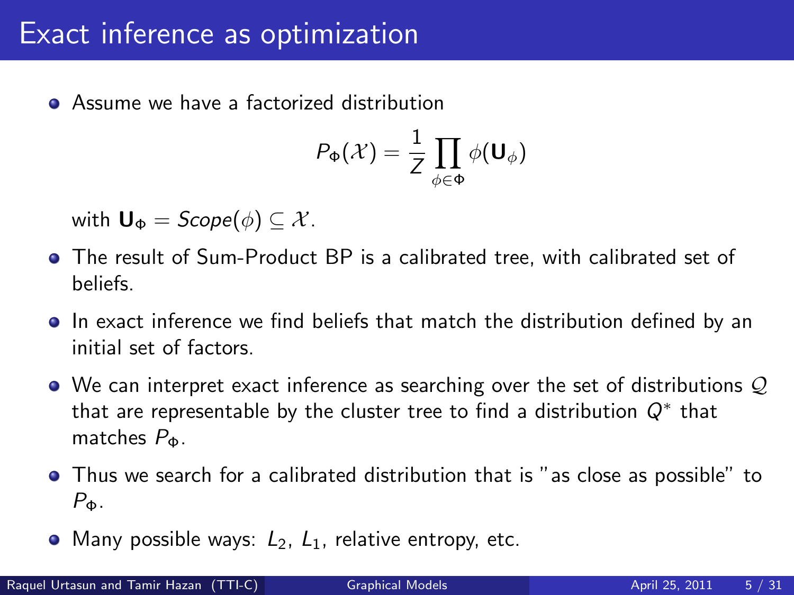Assume we have a factorized distribution

$$
P_{\Phi}(\mathcal{X}) = \frac{1}{Z} \prod_{\phi \in \Phi} \phi(\mathbf{U}_{\phi})
$$

with  $\mathbf{U}_{\Phi} = \text{Scope}(\phi) \subseteq \mathcal{X}$ .

- The result of Sum-Product BP is a calibrated tree, with calibrated set of beliefs.
- In exact inference we find beliefs that match the distribution defined by an initial set of factors.
- $\bullet$  We can interpret exact inference as searching over the set of distributions  $\mathcal{Q}$ that are representable by the cluster tree to find a distribution  $Q^*$  that matches  $P_{\Phi}$ .
- Thus we search for a calibrated distribution that is "as close as possible" to  $P_{\Phi}$ .
- Many possible ways:  $L_2$ ,  $L_1$ , relative entropy, etc.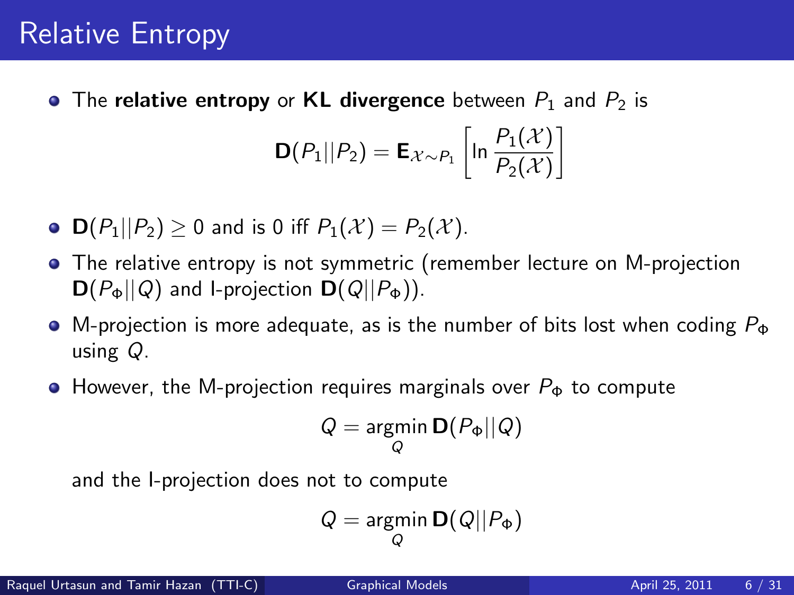# Relative Entropy

• The relative entropy or KL divergence between  $P_1$  and  $P_2$  is

$$
\mathbf{D}(P_1||P_2) = \mathbf{E}_{\mathcal{X} \sim P_1} \left[ \ln \frac{P_1(\mathcal{X})}{P_2(\mathcal{X})} \right]
$$

- $\mathsf{D}(P_1||P_2) \geq 0$  and is 0 iff  $P_1(\mathcal{X}) = P_2(\mathcal{X})$ .
- The relative entropy is not symmetric (remember lecture on M-projection  $\mathbf{D}(P_{\Phi}||Q)$  and l-projection  $\mathbf{D}(Q||P_{\Phi})$ ).
- $\bullet$  M-projection is more adequate, as is the number of bits lost when coding  $P_{\Phi}$ using Q.
- $\bullet$  However, the M-projection requires marginals over  $P_{\Phi}$  to compute

$$
Q = \underset{Q}{\text{argmin}} \, \mathbf{D}(P_{\Phi} || Q)
$$

and the I-projection does not to compute

$$
Q = \underset{Q}{\text{argmin}} \, \mathbf{D}(Q||P_{\Phi})
$$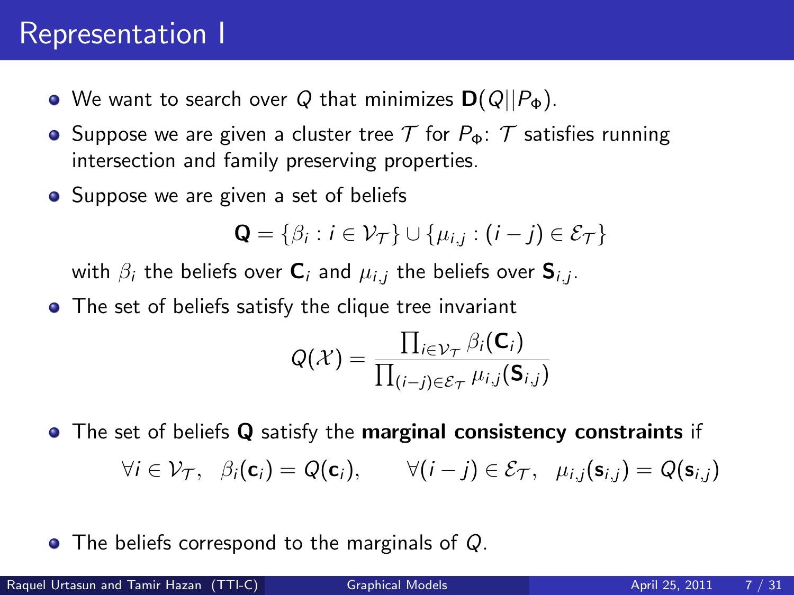### Representation I

- **•** We want to search over Q that minimizes  $D(Q||P_{\Phi})$ .
- **•** Suppose we are given a cluster tree  $\mathcal T$  for  $P_{\Phi}$ :  $\mathcal T$  satisfies running intersection and family preserving properties.
- Suppose we are given a set of beliefs

$$
\mathbf{Q} = \{\beta_i : i \in \mathcal{V}_\mathcal{T}\} \cup \{\mu_{i,j} : (i-j) \in \mathcal{E}_\mathcal{T}\}\
$$

with  $\beta_i$  the beliefs over  $\mathsf{C}_i$  and  $\mu_{i,j}$  the beliefs over  $\mathsf{S}_{i,j}.$ 

• The set of beliefs satisfy the clique tree invariant

$$
Q(\mathcal{X}) = \frac{\prod_{i \in \mathcal{V}_{\mathcal{T}}} \beta_i(\mathsf{C}_i)}{\prod_{(i-j) \in \mathcal{E}_{\mathcal{T}}} \mu_{i,j}(\mathsf{S}_{i,j})}
$$

• The set of beliefs Q satisfy the marginal consistency constraints if  $\forall i \in \mathcal{V}_{\mathcal{T}}, \ \ \beta_i(\mathbf{c}_i) = Q(\mathbf{c}_i), \qquad \forall (i - j) \in \mathcal{E}_{\mathcal{T}}, \ \ \mu_{i,j}(\mathbf{s}_{i,j}) = Q(\mathbf{s}_{i,j})$ 

• The beliefs correspond to the marginals of Q.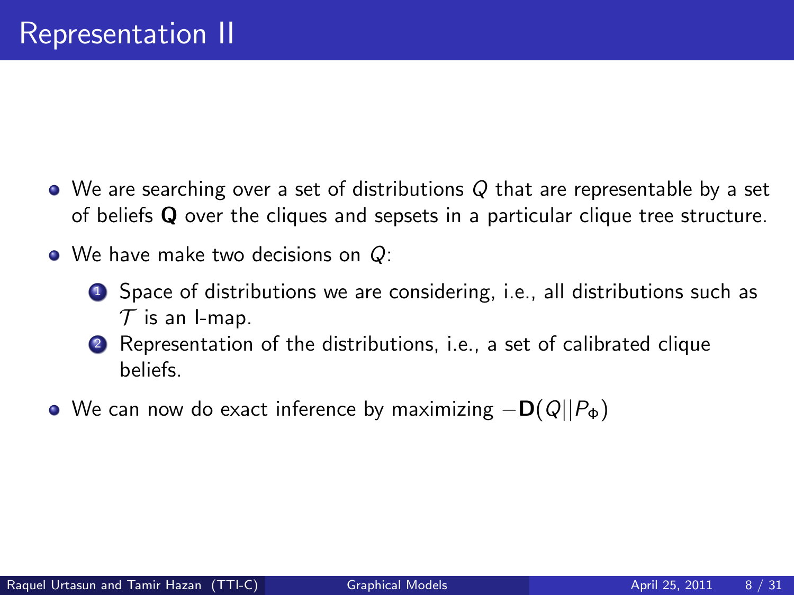- We are searching over a set of distributions Q that are representable by a set of beliefs Q over the cliques and sepsets in a particular clique tree structure.
- We have make two decisions on Q:
	- **1** Space of distributions we are considering, i.e., all distributions such as  $T$  is an I-map.
	- <sup>2</sup> Representation of the distributions, i.e., a set of calibrated clique beliefs.
- $\bullet$  We can now do exact inference by maximizing  $-\mathbf{D}(Q||P_{\Phi})$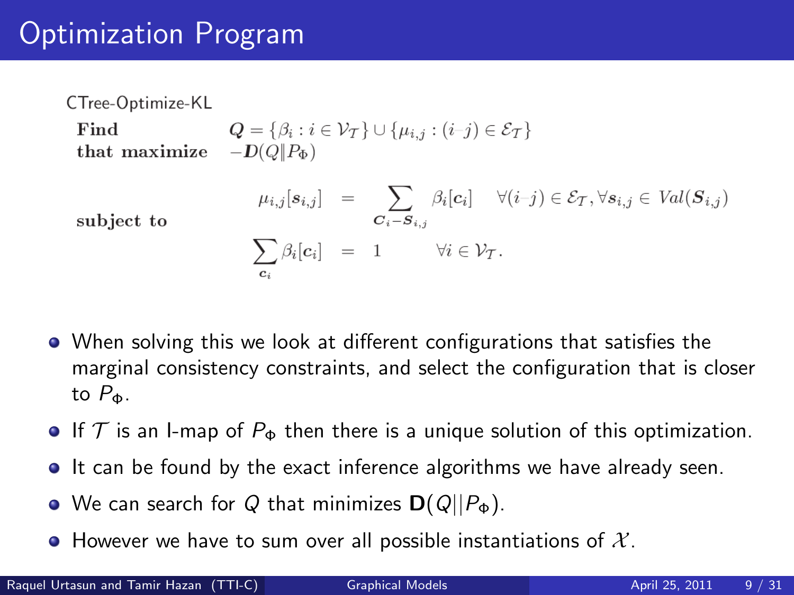# Optimization Program

CTree-Optimize-KL Find  $Q = \{ \beta_i : i \in \mathcal{V}_\mathcal{T} \} \cup \{ \mu_{i,j} : (i-j) \in \mathcal{E}_\mathcal{T} \}$ that maximize  $-D(Q||P_{\Phi})$  $\mu_{i,j}[s_{i,j}] \quad = \quad \sum_{{\cal C}_i - {\cal S}_{i,j}} \beta_i[c_i] \quad \ \forall (i{-}j) \in {\cal E}_{\cal T}, \forall s_{i,j} \in \, Val({\cal S}_{i,j})$ subject to  $\sum_i \beta_i[c_i] = 1$   $\forall i \in \mathcal{V}_T.$ 

- When solving this we look at different configurations that satisfies the marginal consistency constraints, and select the configuration that is closer to  $P_{\Phi}$ .
- If T is an I-map of  $P_{\Phi}$  then there is a unique solution of this optimization.
- It can be found by the exact inference algorithms we have already seen.
- We can search for Q that minimizes  $\mathbf{D}(Q||P_{\Phi})$ .
- However we have to sum over all possible instantiations of  $\mathcal{X}$ .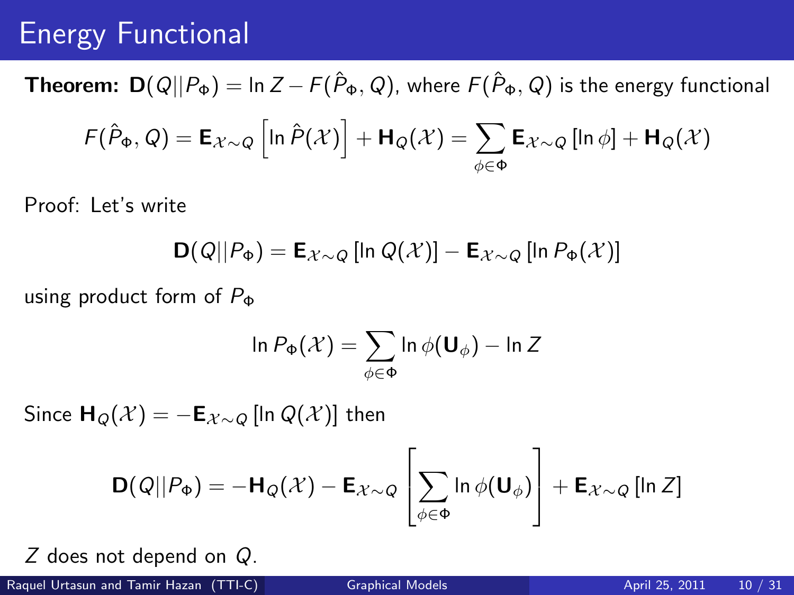## Energy Functional

**Theorem:**  $D(Q||P_{\Phi}) = \ln Z - F(\hat{P}_{\Phi}, Q)$ , where  $F(\hat{P}_{\Phi}, Q)$  is the energy functional  $\mathsf{F}(\hat{P}_\Phi,Q)=\mathsf{E}_{\mathcal{X}\sim Q}\left[ \ln \hat{P}(\mathcal{X})\right]+\mathsf{H}_Q(\mathcal{X})=\sum \mathsf{E}_{\mathcal{X}\sim Q}\left[\ln \phi\right]+\mathsf{H}_Q(\mathcal{X})$ φ∈Φ

Proof: Let's write

$$
\textbf{D}(Q||P_{\Phi}) = \textbf{E}_{\mathcal{X} \sim Q} \left[ \ln Q(\mathcal{X}) \right] - \textbf{E}_{\mathcal{X} \sim Q} \left[ \ln P_{\Phi}(\mathcal{X}) \right]
$$

using product form of  $P_{\Phi}$ 

$$
\ln P_{\Phi}(\mathcal{X}) = \sum_{\phi \in \Phi} \ln \phi(\mathbf{U}_{\phi}) - \ln Z
$$

Since  $H_{\Omega}(\mathcal{X}) = -E_{\mathcal{X}\sim\Omega}$  [ln  $Q(\mathcal{X})$ ] then

$$
\mathbf{D}(Q||P_{\Phi}) = -\mathbf{H}_{Q}(\mathcal{X}) - \mathbf{E}_{\mathcal{X}\sim Q} \left[ \sum_{\phi \in \Phi} \ln \phi(\mathbf{U}_{\phi}) \right] + \mathbf{E}_{\mathcal{X}\sim Q} \left[ \ln Z \right]
$$

Z does not depend on Q.

Raquel Urtasun and Tamir Hazan (TTI-C) [Graphical Models](#page-0-0) April 25, 2011 10 / 31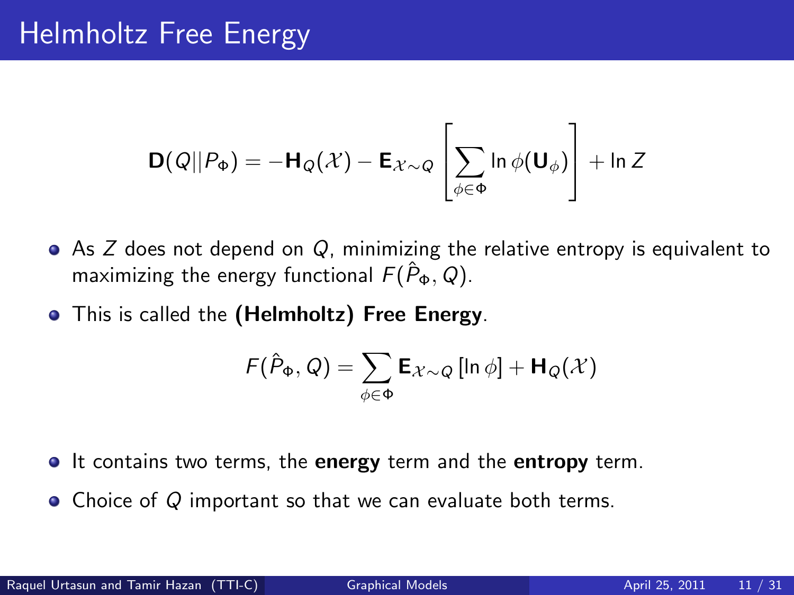$$
\mathbf{D}(Q||P_{\Phi}) = -\mathbf{H}_{Q}(\mathcal{X}) - \mathbf{E}_{\mathcal{X}\sim Q} \left[\sum_{\phi \in \Phi} \ln \phi(\mathbf{U}_{\phi})\right] + \ln Z
$$

- $\bullet$  As Z does not depend on Q, minimizing the relative entropy is equivalent to maximizing the energy functional  $F(\hat{P}_{\Phi}, Q)$ .
- **•** This is called the (Helmholtz) Free Energy.

$$
F(\hat{P}_{\Phi}, Q) = \sum_{\phi \in \Phi} \mathbf{E}_{\mathcal{X} \sim Q} \left[ \ln \phi \right] + \mathbf{H}_{Q}(\mathcal{X})
$$

- **It contains two terms, the energy term and the entropy term.**
- Choice of Q important so that we can evaluate both terms.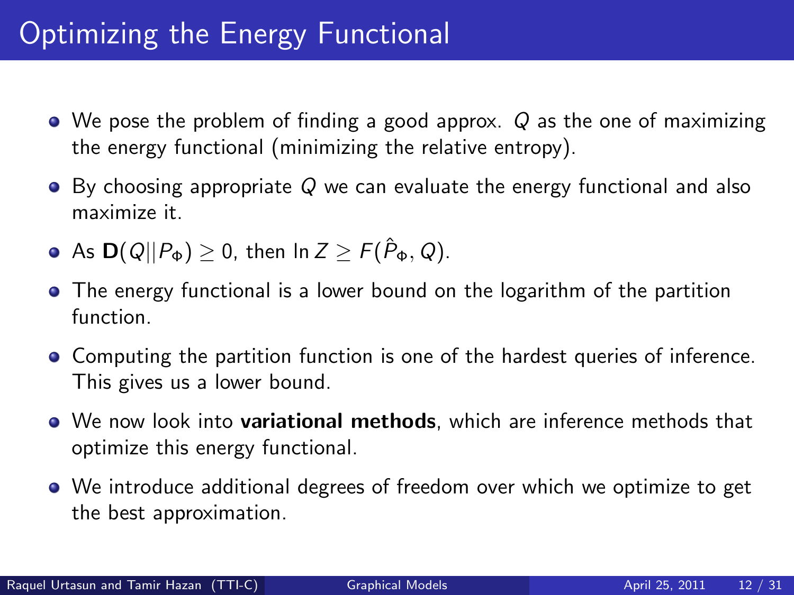# Optimizing the Energy Functional

- $\bullet$  We pose the problem of finding a good approx.  $Q$  as the one of maximizing the energy functional (minimizing the relative entropy).
- $\bullet$  By choosing appropriate Q we can evaluate the energy functional and also maximize it.
- As  $\mathbf{D}(Q||P_{\Phi}) \geq 0$ , then  $\ln Z \geq F(\hat{P}_{\Phi}, Q)$ .
- The energy functional is a lower bound on the logarithm of the partition function.
- Computing the partition function is one of the hardest queries of inference. This gives us a lower bound.
- We now look into variational methods, which are inference methods that optimize this energy functional.
- We introduce additional degrees of freedom over which we optimize to get the best approximation.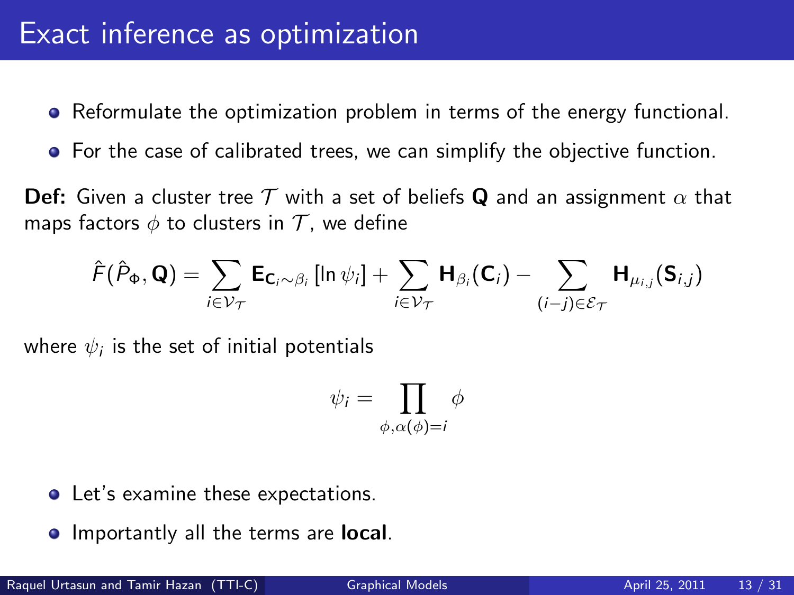- Reformulate the optimization problem in terms of the energy functional.
- **•** For the case of calibrated trees, we can simplify the objective function.

**Def:** Given a cluster tree T with a set of beliefs Q and an assignment  $\alpha$  that maps factors  $\phi$  to clusters in  $\mathcal T$ , we define

$$
\hat{F}(\hat{P}_{\Phi}, \mathbf{Q}) = \sum_{i \in \mathcal{V}_{\mathcal{T}}} \mathbf{E}_{\mathbf{C}_i \sim \beta_i} [\ln \psi_i] + \sum_{i \in \mathcal{V}_{\mathcal{T}}} \mathbf{H}_{\beta_i}(\mathbf{C}_i) - \sum_{(i-j) \in \mathcal{E}_{\mathcal{T}}} \mathbf{H}_{\mu_{i,j}}(\mathbf{S}_{i,j})
$$

where  $\psi_i$  is the set of initial potentials

$$
\psi_i = \prod_{\phi, \alpha(\phi)=i} \phi
$$

- Let's examine these expectations.
- **Importantly all the terms are local.**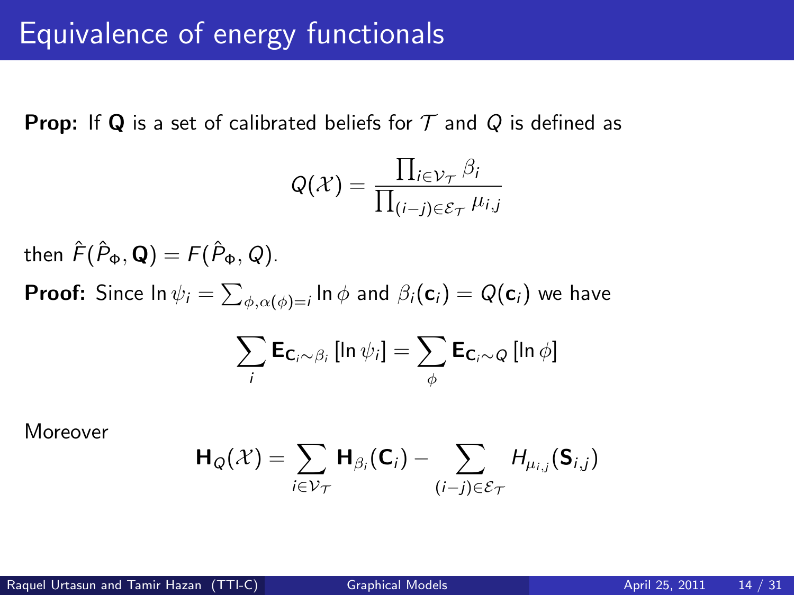**Prop:** If Q is a set of calibrated beliefs for  $T$  and Q is defined as

$$
Q(\mathcal{X}) = \frac{\prod_{i \in \mathcal{V}_{\mathcal{T}}} \beta_i}{\prod_{(i-j) \in \mathcal{E}_{\mathcal{T}}} \mu_{i,j}}
$$

then  $\hat{F}(\hat{P}_{\Phi}, \mathbf{Q}) = F(\hat{P}_{\Phi}, Q)$ . **Proof:** Since In  $\psi_i = \sum_{\phi,\alpha(\phi)=i}\ln\phi$  and  $\beta_i(\mathsf{c}_i) = Q(\mathsf{c}_i)$  we have  $\sum$ i  $\bm{\mathsf{E}}_{\bm{\mathsf{C}}_i \sim \beta_i} \left[ \ln \psi_i \right] = \sum \limits$ φ  $\mathsf{E}_{\mathsf{C}_i\sim Q} \left[ \mathsf{In}\, \phi \right]$ 

Moreover

$$
\mathsf{H}_{Q}(\mathcal{X}) = \sum_{i \in \mathcal{V}_{\mathcal{T}}} \mathsf{H}_{\beta_i}(\mathsf{C}_i) - \sum_{(i-j) \in \mathcal{E}_{\mathcal{T}}} H_{\mu_{i,j}}(\mathsf{S}_{i,j})
$$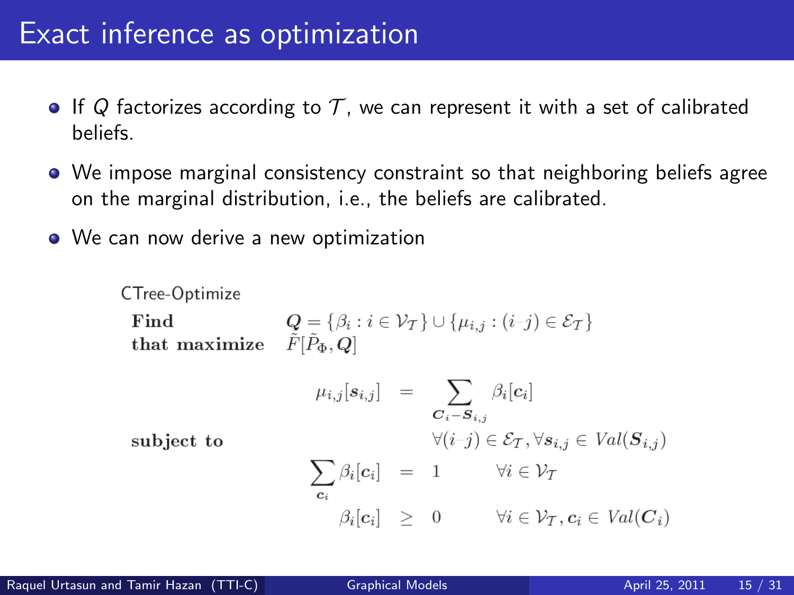### Exact inference as optimization

- If Q factorizes according to T, we can represent it with a set of calibrated beliefs.
- We impose marginal consistency constraint so that neighboring beliefs agree on the marginal distribution, i.e., the beliefs are calibrated.
- We can now derive a new optimization

CTree-Optimize

\nFind

\n
$$
Q = \{ \beta_i : i \in \mathcal{V}_T \} \cup \{ \mu_{i,j} : (i-j) \in \mathcal{E}_T \}
$$
\nthat maximize

\n
$$
\tilde{F}[\tilde{P}_{\Phi}, Q]
$$
\n
$$
\mu_{i,j}[s_{i,j}] = \sum_{\substack{C_i - S_{i,j} \\ \forall (i-j) \in \mathcal{E}_T, \forall s_{i,j} \in \text{Val}(S_{i,j})}} \beta_i[c_i]
$$
\nsubject to

\n
$$
\sum_{c_i} \beta_i[c_i] = 1 \qquad \forall i \in \mathcal{V}_T
$$
\n
$$
\beta_i[c_i] \geq 0 \qquad \forall i \in \mathcal{V}_T, c_i \in \text{Val}(C_i)
$$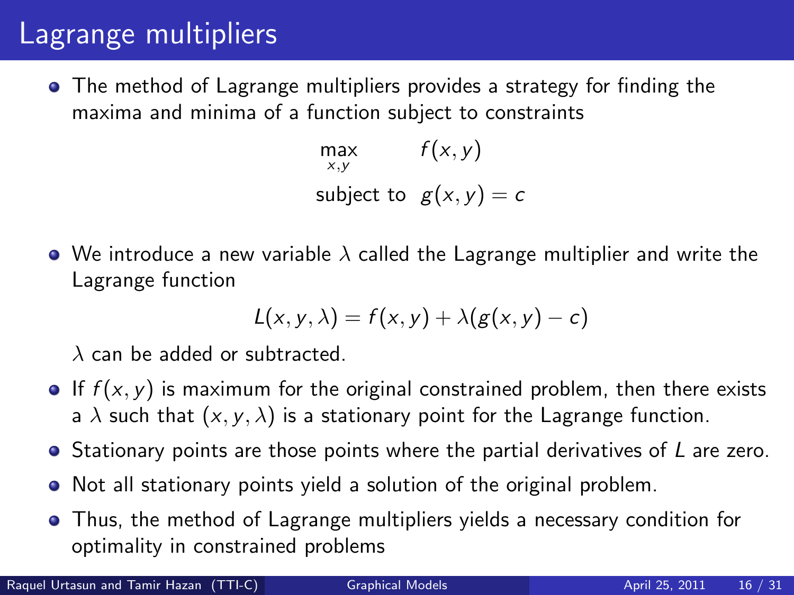### Lagrange multipliers

• The method of Lagrange multipliers provides a strategy for finding the maxima and minima of a function subject to constraints

> max  $x, y$  $f(x, y)$ subject to  $g(x, y) = c$

• We introduce a new variable  $\lambda$  called the Lagrange multiplier and write the Lagrange function

$$
L(x, y, \lambda) = f(x, y) + \lambda (g(x, y) - c)
$$

 $\lambda$  can be added or subtracted.

- If  $f(x, y)$  is maximum for the original constrained problem, then there exists a  $\lambda$  such that  $(x, y, \lambda)$  is a stationary point for the Lagrange function.
- $\bullet$  Stationary points are those points where the partial derivatives of  $L$  are zero.
- Not all stationary points yield a solution of the original problem.
- Thus, the method of Lagrange multipliers yields a necessary condition for optimality in constrained problems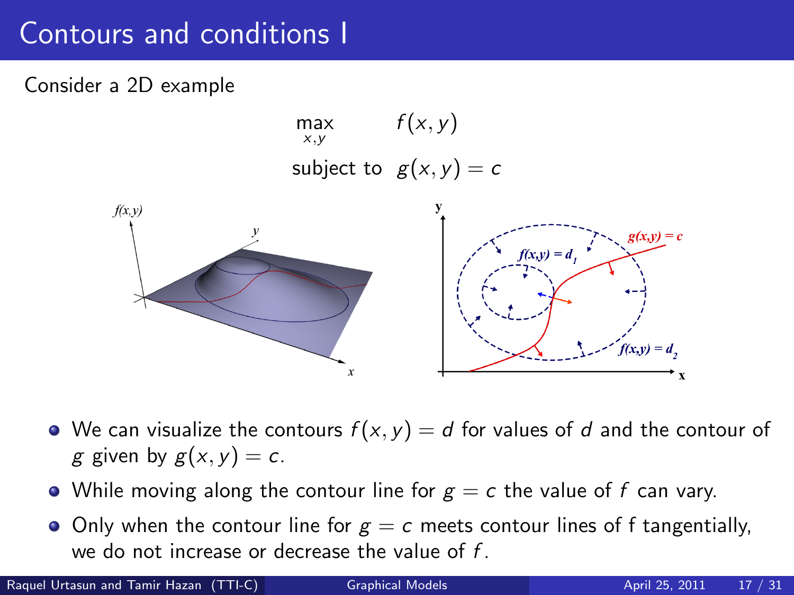# Contours and conditions I

#### Consider a 2D example



- We can visualize the contours  $f(x, y) = d$  for values of d and the contour of g given by  $g(x, y) = c$ .
- While moving along the contour line for  $g = c$  the value of f can vary.
- Only when the contour line for  $g = c$  meets contour lines of f tangentially, we do not increase or decrease the value of  $f$ .

Raquel Urtasun and Tamir Hazan (TTI-C) [Graphical Models](#page-0-0) April 25, 2011 17 / 31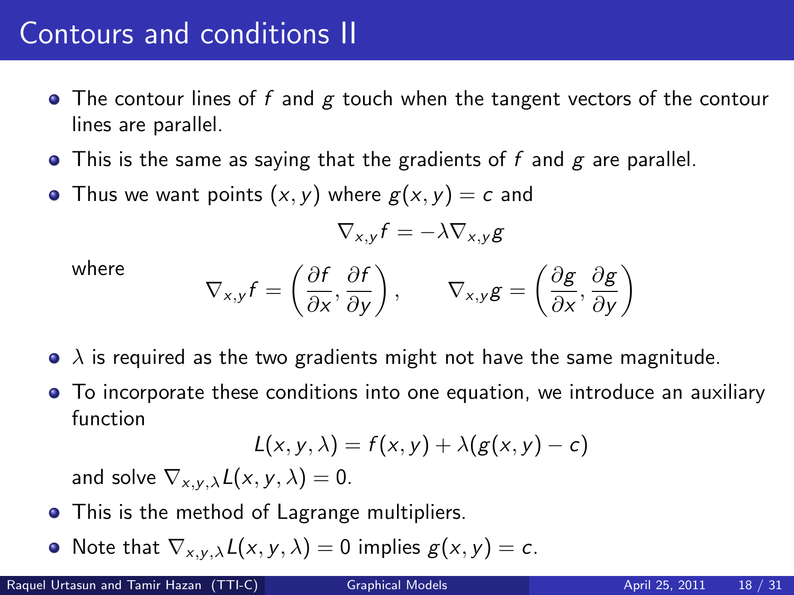# Contours and conditions II

- $\bullet$  The contour lines of f and g touch when the tangent vectors of the contour lines are parallel.
- $\bullet$  This is the same as saying that the gradients of f and g are parallel.
- Thus we want points  $(x, y)$  where  $g(x, y) = c$  and

$$
\nabla_{x,y} f = -\lambda \nabla_{x,y} g
$$

where

$$
\nabla_{x,y} f = \left(\frac{\partial f}{\partial x}, \frac{\partial f}{\partial y}\right), \qquad \nabla_{x,y} g = \left(\frac{\partial g}{\partial x}, \frac{\partial g}{\partial y}\right)
$$

- $\bullet$   $\lambda$  is required as the two gradients might not have the same magnitude.
- To incorporate these conditions into one equation, we introduce an auxiliary function

$$
L(x, y, \lambda) = f(x, y) + \lambda (g(x, y) - c)
$$

and solve  $\nabla_{x,y,\lambda}L(x, y, \lambda) = 0$ .

- This is the method of Lagrange multipliers.
- Note that  $\nabla_{x,y,\lambda}L(x, y, \lambda) = 0$  implies  $g(x, y) = c$ .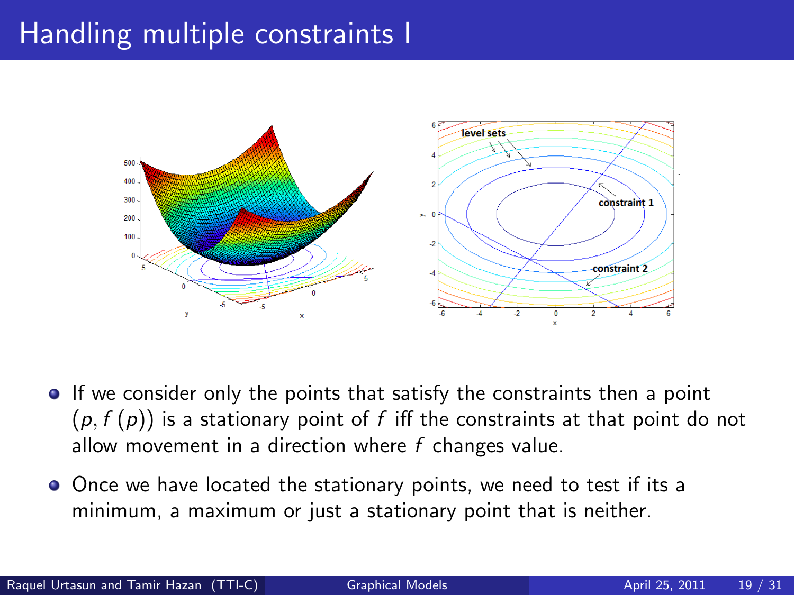# Handling multiple constraints I



- If we consider only the points that satisfy the constraints then a point  $(p, f(p))$  is a stationary point of f iff the constraints at that point do not allow movement in a direction where  $f$  changes value.
- Once we have located the stationary points, we need to test if its a minimum, a maximum or just a stationary point that is neither.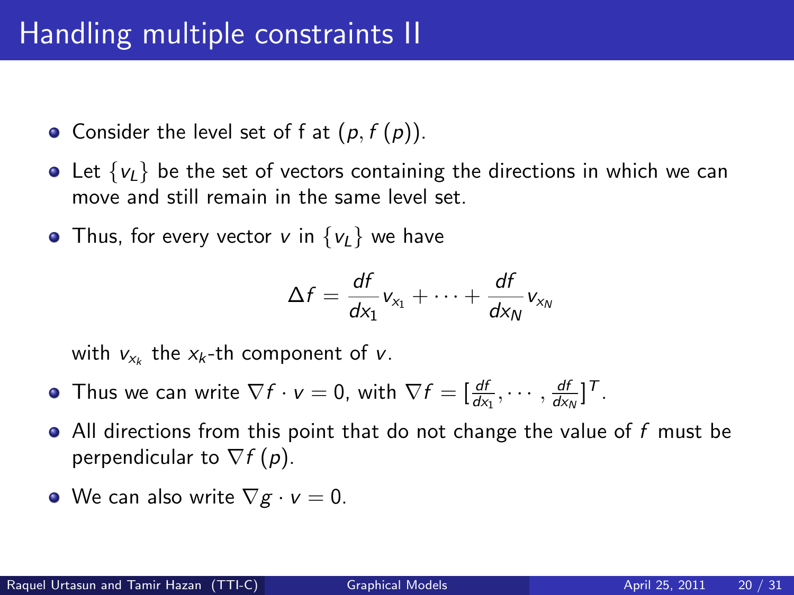# Handling multiple constraints II

• Consider the level set of f at  $(p, f(p))$ .

- Let  $\{v_L\}$  be the set of vectors containing the directions in which we can move and still remain in the same level set.
- Thus, for every vector v in  $\{v_l\}$  we have

$$
\Delta f = \frac{df}{dx_1}v_{x_1} + \cdots + \frac{df}{dx_N}v_{x_N}
$$

with  $v_{x_k}$  the  $x_k$ -th component of  $v$ .

- Thus we can write  $\nabla f \cdot \mathbf{v} = 0$ , with  $\nabla f = [\frac{df}{dx_1}, \cdots, \frac{df}{dx_N}]^T$ .
- $\bullet$  All directions from this point that do not change the value of f must be perpendicular to  $\nabla f(p)$ .
- We can also write  $\nabla g \cdot v = 0$ .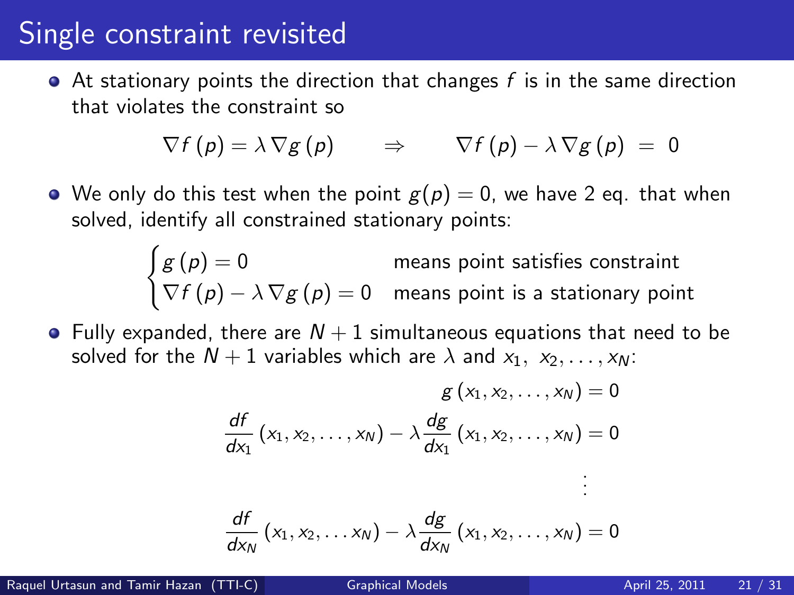#### Single constraint revisited

 $\bullet$  At stationary points the direction that changes f is in the same direction that violates the constraint so

$$
\nabla f(p) = \lambda \nabla g(p) \qquad \Rightarrow \qquad \nabla f(p) - \lambda \nabla g(p) = 0
$$

• We only do this test when the point  $g(p) = 0$ , we have 2 eq. that when solved, identify all constrained stationary points:

$$
\begin{cases}\ng(p) = 0 & \text{means point satisfies constraint} \\
\nabla f(p) - \lambda \nabla g(p) = 0 & \text{means point is a stationary point}\n\end{cases}
$$

• Fully expanded, there are  $N+1$  simultaneous equations that need to be solved for the  $N + 1$  variables which are  $\lambda$  and  $x_1, x_2, \ldots, x_N$ :

$$
g(x_1, x_2,..., x_N) = 0
$$
  
\n
$$
\frac{df}{dx_1}(x_1, x_2,..., x_N) - \lambda \frac{dg}{dx_1}(x_1, x_2,..., x_N) = 0
$$
  
\n
$$
\vdots
$$
  
\n
$$
\frac{df}{dx_N}(x_1, x_2,..., x_N) - \lambda \frac{dg}{dx_N}(x_1, x_2,..., x_N) = 0
$$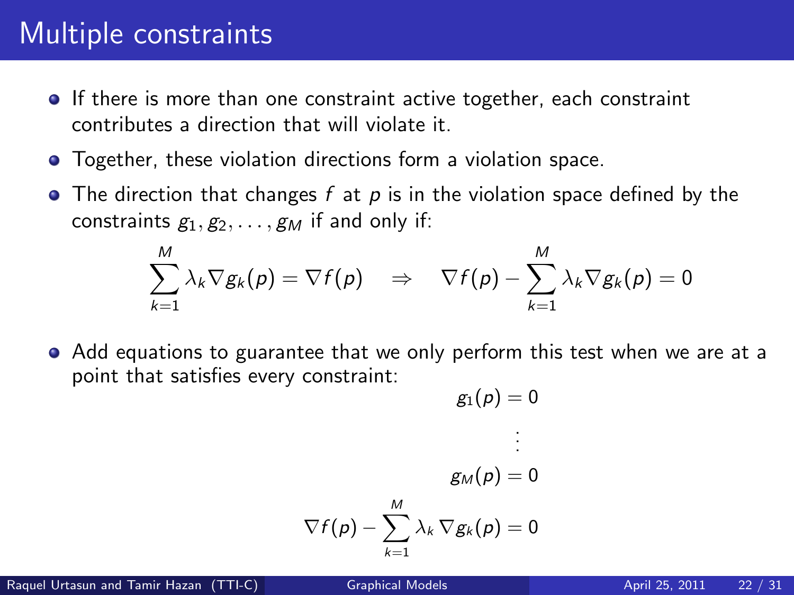## Multiple constraints

- **If there is more than one constraint active together, each constraint** contributes a direction that will violate it.
- **•** Together, these violation directions form a violation space.
- The direction that changes f at p is in the violation space defined by the constraints  $g_1, g_2, \ldots, g_M$  if and only if:

$$
\sum_{k=1}^M \lambda_k \nabla g_k(p) = \nabla f(p) \quad \Rightarrow \quad \nabla f(p) - \sum_{k=1}^M \lambda_k \nabla g_k(p) = 0
$$

Add equations to guarantee that we only perform this test when we are at a point that satisfies every constraint:

$$
g_1(\rho)=0
$$

. . .

$$
g_M(p) = 0
$$
  

$$
\nabla f(p) - \sum_{k=1}^{M} \lambda_k \nabla g_k(p) = 0
$$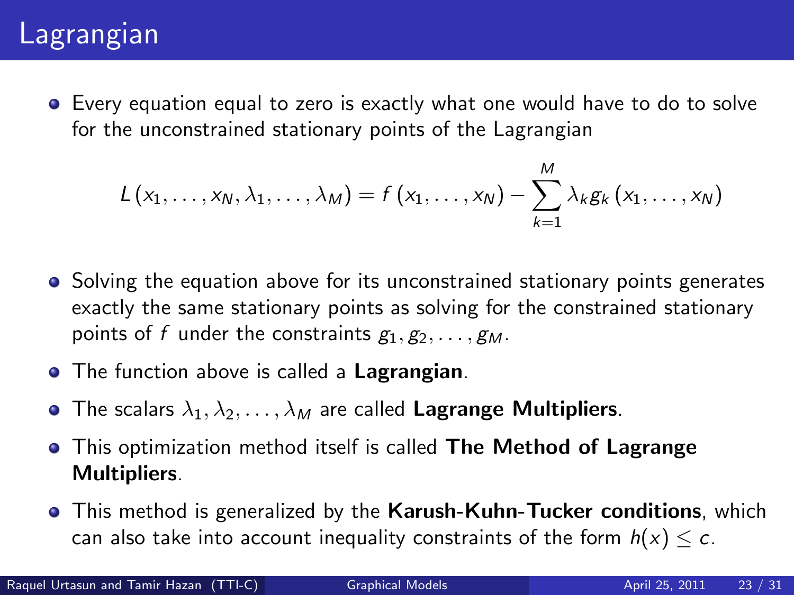## Lagrangian

Every equation equal to zero is exactly what one would have to do to solve for the unconstrained stationary points of the Lagrangian

$$
L(x_1,\ldots,x_N,\lambda_1,\ldots,\lambda_M)=f(x_1,\ldots,x_N)-\sum_{k=1}^M \lambda_k g_k(x_1,\ldots,x_N)
$$

- Solving the equation above for its unconstrained stationary points generates exactly the same stationary points as solving for the constrained stationary points of f under the constraints  $g_1, g_2, \ldots, g_M$ .
- **•** The function above is called a **Lagrangian**.
- The scalars  $\lambda_1, \lambda_2, \ldots, \lambda_M$  are called Lagrange Multipliers.
- This optimization method itself is called **The Method of Lagrange** Multipliers.
- **•** This method is generalized by the **Karush-Kuhn-Tucker conditions**, which can also take into account inequality constraints of the form  $h(x) \leq c$ .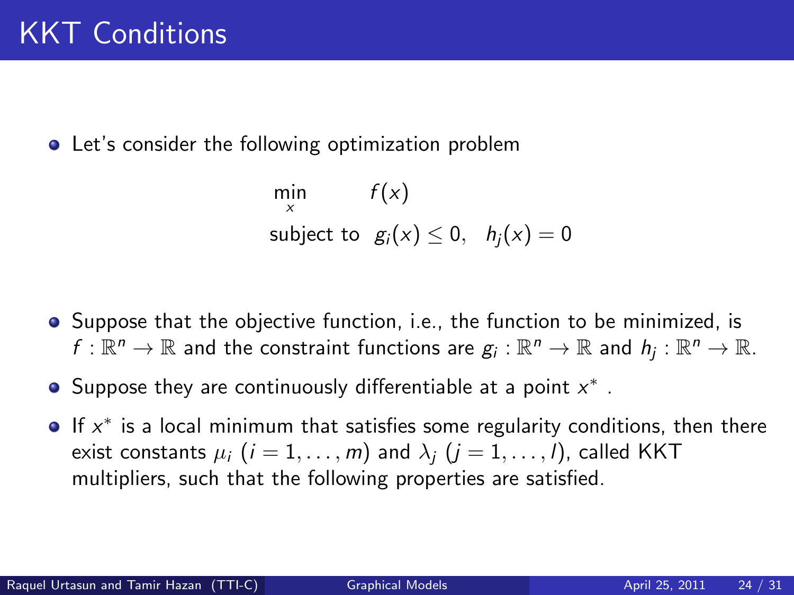**•** Let's consider the following optimization problem

$$
\min_{x} f(x)
$$
\nsubject to  $g_i(x) \leq 0$ ,  $h_j(x) = 0$ 

- **•** Suppose that the objective function, i.e., the function to be minimized, is  $f:\mathbb{R}^n\to\mathbb{R}$  and the constraint functions are  $g_i:\mathbb{R}^n\to\mathbb{R}$  and  $h_j:\mathbb{R}^n\to\mathbb{R}$ .
- Suppose they are continuously differentiable at a point  $x^*$  .
- If  $x^*$  is a local minimum that satisfies some regularity conditions, then there exist constants  $\mu_i$   $(i = 1, ..., m)$  and  $\lambda_i$   $(j = 1, ..., l)$ , called KKT multipliers, such that the following properties are satisfied.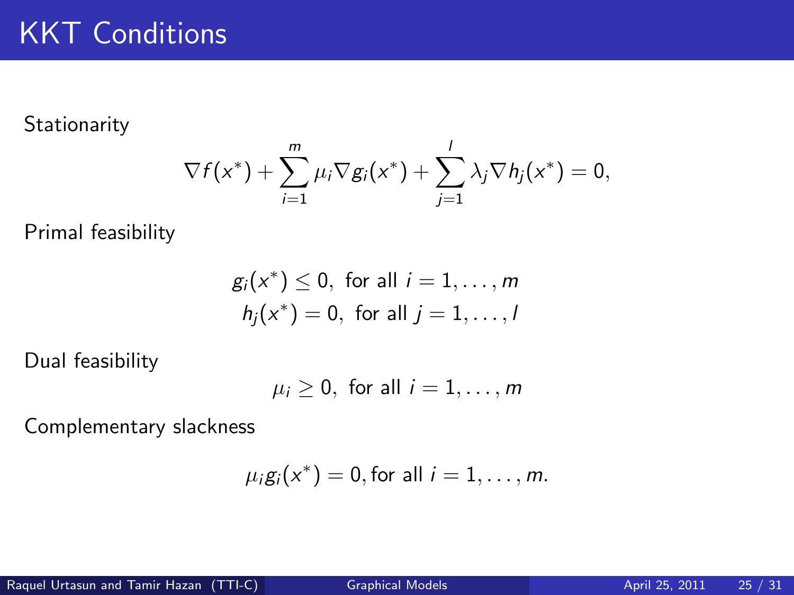Stationarity

$$
\nabla f(x^*) + \sum_{i=1}^m \mu_i \nabla g_i(x^*) + \sum_{j=1}^l \lambda_j \nabla h_j(x^*) = 0,
$$

Primal feasibility

$$
g_i(x^*) \le 0, \text{ for all } i = 1, \dots, m
$$
  

$$
h_j(x^*) = 0, \text{ for all } j = 1, \dots, l
$$

Dual feasibility

$$
\mu_i \geq 0, \text{ for all } i=1,\ldots,m
$$

Complementary slackness

$$
\mu_i g_i(x^*) = 0, \text{ for all } i = 1, \ldots, m.
$$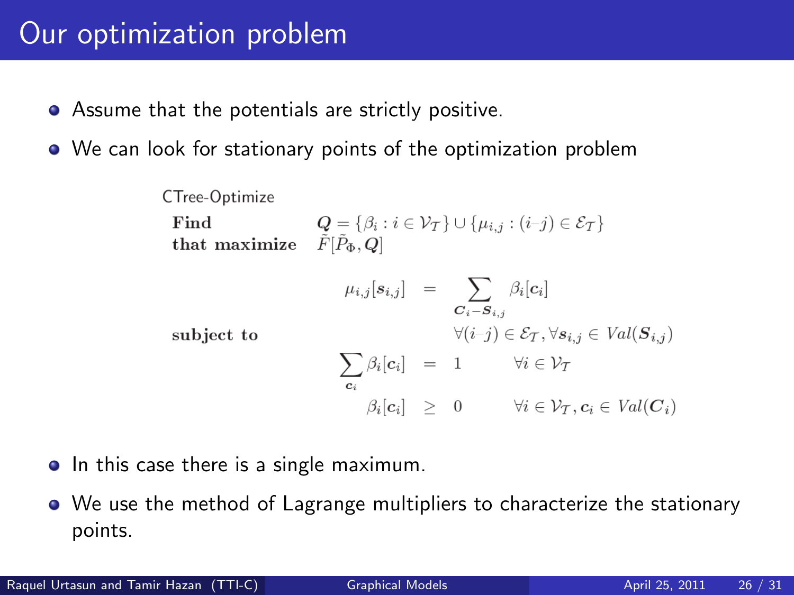### Our optimization problem

- Assume that the potentials are strictly positive.
- We can look for stationary points of the optimization problem

CTree-Optimize  
\nFind  
\n
$$
Q = \{\beta_i : i \in \mathcal{V}_T\} \cup \{\mu_{i,j} : (i-j) \in \mathcal{E}_T\}
$$
\nthat maximize  
\n
$$
\tilde{F}[\tilde{P}_{\Phi}, Q]
$$
\n
$$
\mu_{i,j}[s_{i,j}] = \sum_{C_i - S_{i,j}} \beta_i[c_i]
$$
\nsubject to  
\n
$$
\forall (i-j) \in \mathcal{E}_T, \forall s_{i,j} \in Val(S_{i,j})
$$
\n
$$
\sum_{c_i} \beta_i[c_i] = 1 \qquad \forall i \in \mathcal{V}_T
$$
\n
$$
\beta_i[c_i] \geq 0 \qquad \forall i \in \mathcal{V}_T, c_i \in Val(C_i)
$$

- In this case there is a single maximum.
- We use the method of Lagrange multipliers to characterize the stationary points.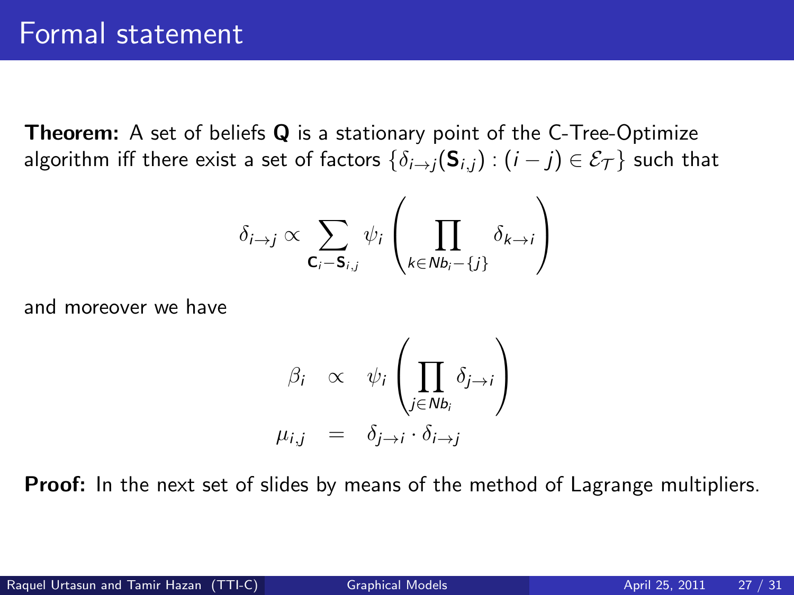**Theorem:** A set of beliefs **Q** is a stationary point of the C-Tree-Optimize algorithm iff there exist a set of factors  $\{\delta_{i\to i}(\mathbf{S}_{i,j}) : (i - j) \in \mathcal{E}_{\mathcal{T}}\}$  such that

$$
\delta_{i\to j} \propto \sum_{\mathbf{C}_i-\mathbf{S}_{i,j}} \psi_i \left( \prod_{k\in Nb_i-\{j\}} \delta_{k\to i} \right)
$$

and moreover we have

$$
\beta_i \propto \psi_i \left( \prod_{j \in Nb_i} \delta_{j \to i} \right)
$$
  

$$
\mu_{i,j} = \delta_{j \to i} \cdot \delta_{i \to j}
$$

**Proof:** In the next set of slides by means of the method of Lagrange multipliers.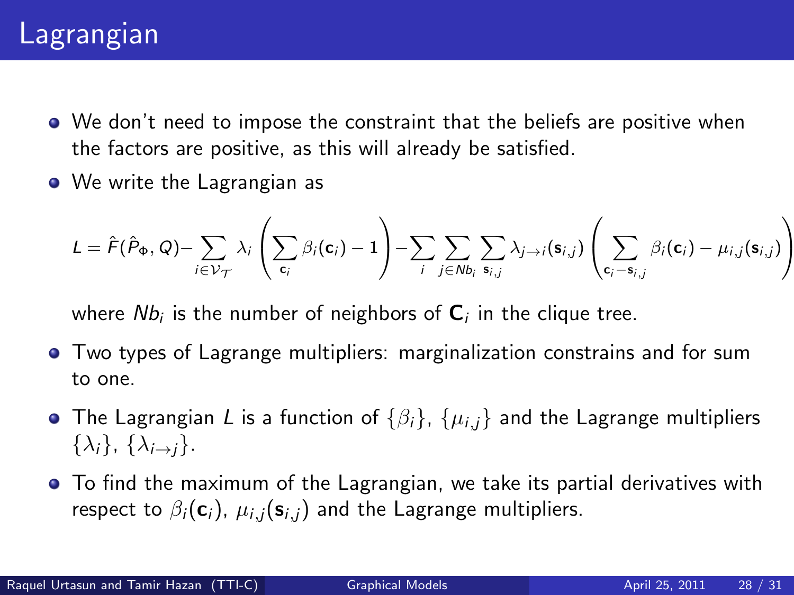## Lagrangian

- We don't need to impose the constraint that the beliefs are positive when the factors are positive, as this will already be satisfied.
- We write the Lagrangian as

$$
L = \hat{F}(\hat{P}_{\Phi}, Q) - \sum_{i \in \mathcal{V}_{\mathcal{T}}} \lambda_i \left( \sum_{\mathbf{c}_i} \beta_i(\mathbf{c}_i) - 1 \right) - \sum_i \sum_{j \in Nb_i} \sum_{\mathbf{s}_{i,j}} \lambda_{j \to i}(\mathbf{s}_{i,j}) \left( \sum_{\mathbf{c}_i - \mathbf{s}_{i,j}} \beta_i(\mathbf{c}_i) - \mu_{i,j}(\mathbf{s}_{i,j}) \right)
$$

where  $Nb_{i}$  is the number of neighbors of  $\mathsf{C}_{i}$  in the clique tree.

- Two types of Lagrange multipliers: marginalization constrains and for sum to one.
- The Lagrangian L is a function of  $\{\beta_i\}$ ,  $\{\mu_{i,j}\}$  and the Lagrange multipliers  $\{\lambda_i\}, \{\lambda_{i\rightarrow i}\}.$
- To find the maximum of the Lagrangian, we take its partial derivatives with respect to  $\beta_i(c_i)$ ,  $\mu_{i,i}(s_{i,i})$  and the Lagrange multipliers.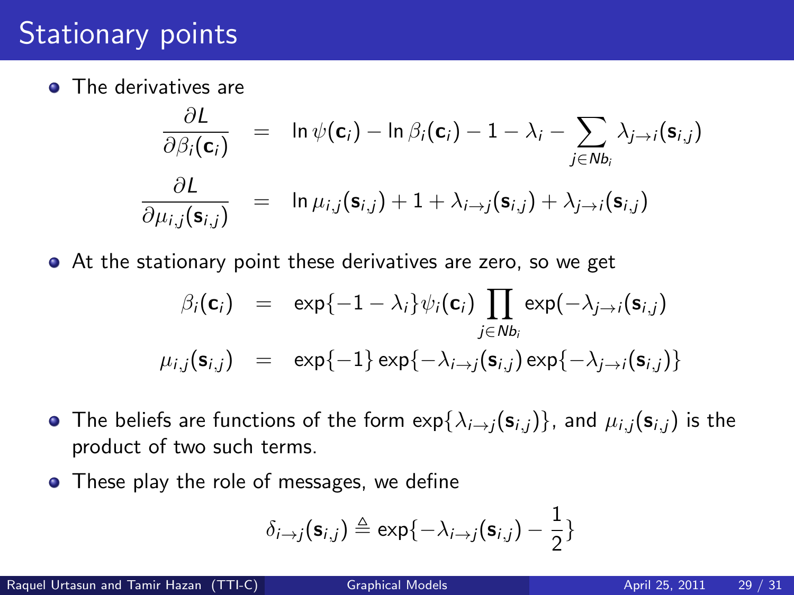## Stationary points

**•** The derivatives are

$$
\frac{\partial L}{\partial \beta_i(\mathbf{c}_i)} = \ln \psi(\mathbf{c}_i) - \ln \beta_i(\mathbf{c}_i) - 1 - \lambda_i - \sum_{j \in Nb_i} \lambda_{j \to i}(\mathbf{s}_{i,j})
$$

$$
\frac{\partial L}{\partial \mu_{i,j}(\mathbf{s}_{i,j})} = \ln \mu_{i,j}(\mathbf{s}_{i,j}) + 1 + \lambda_{i \to j}(\mathbf{s}_{i,j}) + \lambda_{j \to i}(\mathbf{s}_{i,j})
$$

At the stationary point these derivatives are zero, so we get

$$
\beta_i(\mathbf{c}_i) = \exp\{-1 - \lambda_i\} \psi_i(\mathbf{c}_i) \prod_{j \in Nb_i} \exp(-\lambda_{j \to i}(\mathbf{s}_{i,j})
$$
  

$$
\mu_{i,j}(\mathbf{s}_{i,j}) = \exp\{-1\} \exp\{-\lambda_{i \to j}(\mathbf{s}_{i,j}) \exp\{-\lambda_{j \to i}(\mathbf{s}_{i,j})\}
$$

- The beliefs are functions of the form  $exp{\{\lambda_{i\to j}(s_{i,j})\}}$ , and  $\mu_{i,j}(s_{i,j})$  is the product of two such terms.
- These play the role of messages, we define

$$
\delta_{i\to j}(\mathbf{s}_{i,j}) \triangleq \exp\{-\lambda_{i\to j}(\mathbf{s}_{i,j}) - \frac{1}{2}\}\
$$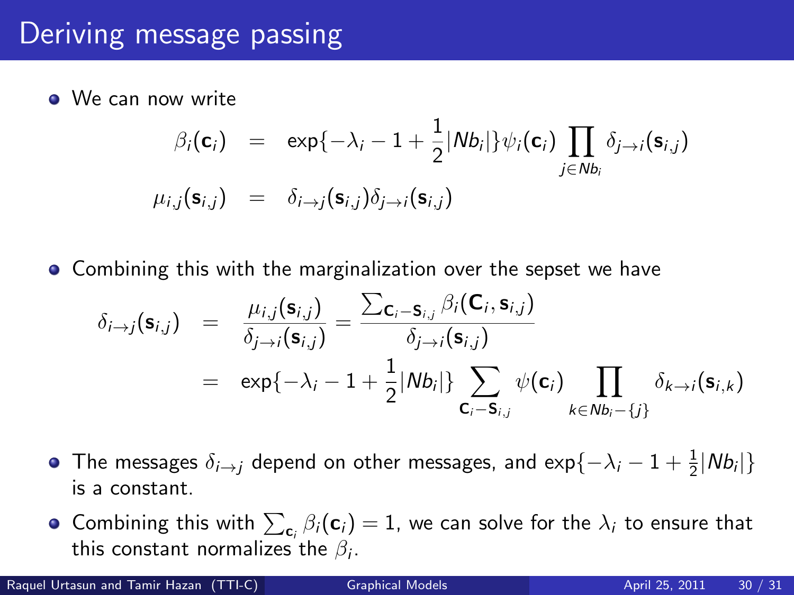# Deriving message passing

**We can now write** 

$$
\beta_i(\mathbf{c}_i) = \exp\{-\lambda_i - 1 + \frac{1}{2}|Nb_i|\}\psi_i(\mathbf{c}_i) \prod_{j \in Nb_i} \delta_{j \to i}(\mathbf{s}_{i,j})
$$
  

$$
\mu_{i,j}(\mathbf{s}_{i,j}) = \delta_{i \to j}(\mathbf{s}_{i,j})\delta_{j \to i}(\mathbf{s}_{i,j})
$$

**• Combining this with the marginalization over the sepset we have** 

$$
\delta_{i\to j}(\mathbf{s}_{i,j}) = \frac{\mu_{i,j}(\mathbf{s}_{i,j})}{\delta_{j\to i}(\mathbf{s}_{i,j})} = \frac{\sum_{\mathbf{C}_i-\mathbf{S}_{i,j}} \beta_i(\mathbf{C}_i, \mathbf{s}_{i,j})}{\delta_{j\to i}(\mathbf{s}_{i,j})}
$$
\n
$$
= \exp\{-\lambda_i - 1 + \frac{1}{2}|Nb_i|\}\sum_{\mathbf{C}_i-\mathbf{S}_{i,j}} \psi(\mathbf{c}_i) \prod_{k\in Nb_i-\{j\}} \delta_{k\to i}(\mathbf{s}_{i,k})
$$

- The messages  $\delta_{i\rightarrow j}$  depend on other messages, and exp $\{-\lambda_i-1+\frac{1}{2}|N b_i|\}$ is a constant.
- Combining this with  $\sum_{\mathbf{c}_i} \beta_i(\mathbf{c}_i) = 1$ , we can solve for the  $\lambda_i$  to ensure that this constant normalizes the  $\beta_i.$